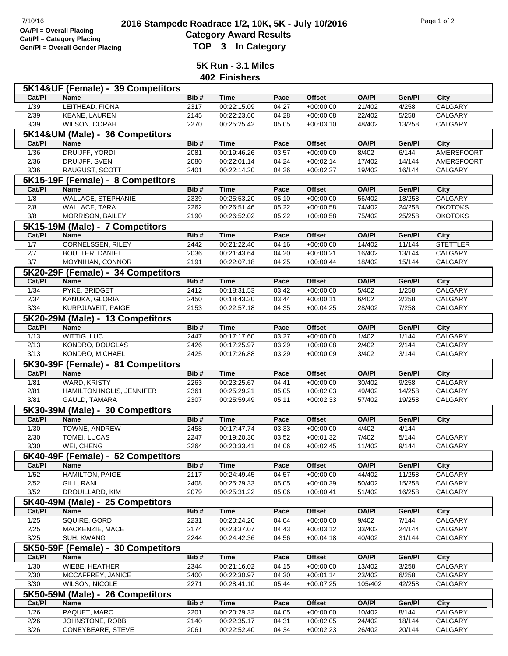## **2016 Stampede Roadrace 1/2, 10K, 5K - July 10/2016** Page 1 of 2<br> **2016 Stampede Roadrace 1/2, 10K, 5K - July 10/2016 Category Award Results Gen/Pl = Overall Gender Placing TOP 3 In Category**

**5K Run - 3.1 Miles**

**402 Finishers**

|                | 5K14&UF (Female) - 39 Competitors    |              |                            |                |                            |                  |                  |                    |
|----------------|--------------------------------------|--------------|----------------------------|----------------|----------------------------|------------------|------------------|--------------------|
| Cat/PI         | <b>Name</b>                          | Bib#         | <b>Time</b>                | Pace           | <b>Offset</b>              | <b>OA/PI</b>     | Gen/Pl           | City               |
| 1/39           | LEITHEAD, FIONA                      | 2317         | 00:22:15.09                | 04:27          | $+00:00:00$                | 21/402           | 4/258            | <b>CALGARY</b>     |
| 2/39           | KEANE, LAUREN                        | 2145         | 00:22:23.60                | 04:28          | $+00:00:08$                | 22/402           | 5/258            | CALGARY            |
| $\frac{3}{39}$ | WILSON, CORAH                        | 2270         | 00:25:25.42                | 05:05          | $+00:03:10$                | 48/402           | 13/258           | CALGARY            |
|                | 5K14&UM (Male) - 36 Competitors      |              |                            |                |                            |                  |                  |                    |
| Cat/PI         | <b>Name</b>                          | Bib#         | <b>Time</b>                | Pace           | Offset                     | <b>OA/PI</b>     | Gen/Pl           | City               |
| $\frac{1}{36}$ | DRUIJFF, YORDI                       | 2081         | 00:19:46.26                | 03:57          | $+00:00:00$                | 8/402            | 6/144            | <b>AMERSFOORT</b>  |
| 2/36           | DRUIJFF, SVEN                        | 2080         | 00:22:01.14                | 04:24          | $+00:02:14$                | 17/402           | 14/144           | AMERSFOORT         |
| $\frac{3}{36}$ | RAUGUST, SCOTT                       | 2401         | 00:22:14.20                | 04:26          | $+00:02:27$                | 19/402           | 16/144           | CALGARY            |
|                |                                      |              |                            |                |                            |                  |                  |                    |
|                | 5K15-19F (Female) - 8 Competitors    |              |                            |                |                            |                  |                  |                    |
| Cat/PI         | <b>Name</b>                          | Bib#         | <b>Time</b>                | Pace           | <b>Offset</b>              | <b>OA/PI</b>     | Gen/Pl           | City               |
| 1/8            | WALLACE, STEPHANIE                   | 2339         | 00:25:53.20                | 05:10          | $+00:00:00$                | 56/402           | 18/258           | CALGARY            |
| 2/8            | <b>WALLACE, TARA</b>                 | 2262         | 00:26:51.46                | 05:22          | $+00:00:58$                | 74/402           | 24/258           | <b>OKOTOKS</b>     |
| 3/8            | <b>MORRISON, BAILEY</b>              | 2190         | 00:26:52.02                | 05:22          | $+00:00:58$                | 75/402           | 25/258           | <b>OKOTOKS</b>     |
|                | 5K15-19M (Male) - 7 Competitors      |              |                            |                |                            |                  |                  |                    |
| Cat/PI         | <b>Name</b>                          | Bib#         | <b>Time</b>                | Pace           | <b>Offset</b>              | <b>OA/PI</b>     | Gen/Pl           | <b>City</b>        |
| 1/7            | <b>CORNELSSEN, RILEY</b>             | 2442         | 00:21:22.46                | 04:16          | $+00:00:00$                | 14/402           | 11/144           | <b>STETTLER</b>    |
| 2/7            | <b>BOULTER, DANIEL</b>               | 2036         | 00:21:43.64                | 04:20          | $+00:00:21$                | 16/402           | 13/144           | CALGARY            |
| 3/7            | MOYNIHAN, CONNOR                     | 2191         | 00:22:07.18                | 04:25          | $+00:00:44$                | 18/402           | 15/144           | CALGARY            |
|                | 5K20-29F (Female) - 34 Competitors   |              |                            |                |                            |                  |                  |                    |
| Cat/PI         | <b>Name</b>                          | Bib#         | <b>Time</b>                | Pace           | <b>Offset</b>              | <b>OA/PI</b>     | Gen/PI           | <b>City</b>        |
| 1/34           | PYKE, BRIDGET                        | 2412         | 00:18:31.53                | 03:42          | $+00:00:00$                | 5/402            | 1/258            | <b>CALGARY</b>     |
| 2/34           | KANUKA, GLORIA                       | 2450         | 00:18:43.30                | 03:44          | $+00:00:11$                | 6/402            | 2/258            | CALGARY            |
| 3/34           | KURPJUWEIT, PAIGE                    |              |                            | 04:35          |                            | 28/402           | 7/258            | CALGARY            |
|                |                                      | 2153         | 00:22:57.18                |                | $+00:04:25$                |                  |                  |                    |
|                | 5K20-29M (Male) - 13 Competitors     |              |                            |                |                            |                  |                  |                    |
| Cat/PI         | Name                                 | Bib#         | <b>Time</b>                | Pace           | <b>Offset</b>              | <b>OA/PI</b>     | Gen/Pl           | <b>City</b>        |
| 1/13           | WITTIG, LUC                          | 2447         | 00:17:17.60                | 03:27          | $+00:00:00$                | 1/402            | 1/144            | <b>CALGARY</b>     |
| 2/13           | KONDRO, DOUGLAS                      | 2426         | 00:17:25.97                | 03:29          | $+00:00:08$                | 2/402            | 2/144            | CALGARY            |
| 3/13           | KONDRO, MICHAEL                      | 2425         | 00:17:26.88                | 03:29          | $+00:00:09$                | 3/402            | 3/144            | CALGARY            |
|                |                                      |              |                            |                |                            |                  |                  |                    |
|                | 5K30-39F (Female) - 81 Competitors   |              |                            |                |                            |                  |                  |                    |
| Cat/PI         | Name                                 | Bib#         | <b>Time</b>                | Pace           | <b>Offset</b>              | <b>OA/PI</b>     | Gen/Pl           | City               |
| 1/81           | WARD, KRISTY                         | 2263         | 00:23:25.67                | 04:41          | $+00:00:00$                | 30/402           | 9/258            | <b>CALGARY</b>     |
| 2/81           | HAMILTON INGLIS, JENNIFER            | 2361         | 00:25:29.21                | 05:05          | $+00:02:03$                | 49/402           | 14/258           | CALGARY            |
|                | GAULD, TAMARA                        | 2307         | 00:25:59.49                | 05:11          | $+00:02:33$                | 57/402           | 19/258           | CALGARY            |
| 3/81           |                                      |              |                            |                |                            |                  |                  |                    |
|                | 5K30-39M (Male) - 30 Competitors     |              |                            |                |                            |                  |                  |                    |
| Cat/PI         | <b>Name</b>                          | Bib#         | <b>Time</b>                | Pace           | Offset                     | <b>OA/PI</b>     | Gen/Pl           | <b>City</b>        |
| $\frac{1}{30}$ | TOWNE, ANDREW                        | 2458         | 00:17:47.74                | 03:33          | $+00:00:00$                | 4/402            | 4/144            |                    |
| 2/30           | TOMEI, LUCAS                         | 2247         | 00:19:20.30                | 03:52          | $+00:01:32$                | 7/402            | 5/144            | CALGARY            |
| 3/30           | WEI, CHENG                           | 2264         | 00:20:33.41                | 04:06          | $+00:02:45$                | 11/402           | 9/144            | CALGARY            |
|                | 5K40-49F (Female) - 52 Competitors   |              |                            |                |                            |                  |                  |                    |
| Cat/PI         | Name                                 | Bib#         | <b>Time</b>                | Pace           | Offset                     | <b>OA/PI</b>     | Gen/Pl           | City               |
| 1/52           | <b>HAMILTON, PAIGE</b>               | 2117         | 00:24:49.45                | 04:57          | $+00:00:00$                | 44/402           | 11/258           | CALGARY            |
| 2/52           | GILL, RANI                           | 2408         | 00:25:29.33                | 05:05          | $+00:00:39$                | 50/402           | 15/258           | CALGARY            |
| $\frac{3}{52}$ | DROUILLARD, KIM                      | 2079         | 00:25:31.22                | 05:06          | $+00:00:41$                | 51/402           | 16/258           | CALGARY            |
|                | 5K40-49M (Male) - 25 Competitors     |              |                            |                |                            |                  |                  |                    |
| Cat/PI         | Name                                 | Bib#         | <b>Time</b>                | Pace           | Offset                     | <b>OA/PI</b>     | Gen/Pl           | City               |
| $\frac{1}{25}$ | SQUIRE, GORD                         | 2231         | 00:20:24.26                | 04:04          | $+00:00:00$                | 9/402            | 7/144            | CALGARY            |
| 2/25           | MACKENZIE, MACE                      | 2174         | 00:23:37.07                | 04:43          | $+00:03:12$                | 33/402           | 24/144           | CALGARY            |
|                |                                      | 2244         | 00:24:42.36                | 04:56          | $+00:04:18$                | 40/402           | 31/144           | CALGARY            |
| 3/25           | SUH, KWANG                           |              |                            |                |                            |                  |                  |                    |
|                | 5K50-59F (Female) - 30 Competitors   |              |                            |                |                            |                  |                  |                    |
| Cat/PI         | Name                                 | Bib#         | <b>Time</b>                | Pace           | <b>Offset</b>              | <b>OA/PI</b>     | Gen/Pl           | City               |
| 1/30           | WIEBE, HEATHER                       | 2344         | 00:21:16.02                | 04:15          | $+00:00:00$                | 13/402           | 3/258            | CALGARY            |
| 2/30           | MCCAFFREY, JANICE                    | 2400         | 00:22:30.97                | 04:30          | $+00:01:14$                | 23/402           | 6/258            | CALGARY            |
| 3/30           | WILSON, NICOLE                       | 2271         | 00:28:41.10                | 05:44          | $+00:07:25$                | 105/402          | 42/258           | CALGARY            |
|                | 5K50-59M (Male) - 26 Competitors     |              |                            |                |                            |                  |                  |                    |
| Cat/PI         | Name                                 | Bib#         | <b>Time</b>                | Pace           | Offset                     | <b>OA/PI</b>     | Gen/Pl           | City               |
| 1/26           | PAQUET, MARC                         | 2201         | 00:20:29.32                | 04:05          | $+00:00:00$                | 10/402           | 8/144            | CALGARY            |
| 2/26<br>3/26   | JOHNSTONE, ROBB<br>CONEYBEARE, STEVE | 2140<br>2061 | 00:22:35.17<br>00:22:52.40 | 04:31<br>04:34 | $+00:02:05$<br>$+00:02:23$ | 24/402<br>26/402 | 18/144<br>20/144 | CALGARY<br>CALGARY |